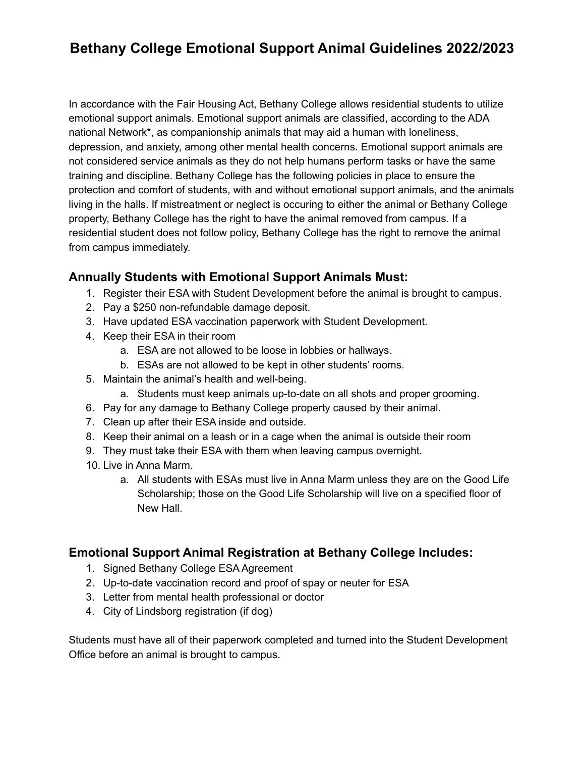## **Bethany College Emotional Support Animal Guidelines 2022/2023**

In accordance with the Fair Housing Act, Bethany College allows residential students to utilize emotional support animals. Emotional support animals are classified, according to the ADA national Network\*, as companionship animals that may aid a human with loneliness, depression, and anxiety, among other mental health concerns. Emotional support animals are not considered service animals as they do not help humans perform tasks or have the same training and discipline. Bethany College has the following policies in place to ensure the protection and comfort of students, with and without emotional support animals, and the animals living in the halls. If mistreatment or neglect is occuring to either the animal or Bethany College property, Bethany College has the right to have the animal removed from campus. If a residential student does not follow policy, Bethany College has the right to remove the animal from campus immediately.

## **Annually Students with Emotional Support Animals Must:**

- 1. Register their ESA with Student Development before the animal is brought to campus.
- 2. Pay a \$250 non-refundable damage deposit.
- 3. Have updated ESA vaccination paperwork with Student Development.
- 4. Keep their ESA in their room
	- a. ESA are not allowed to be loose in lobbies or hallways.
	- b. ESAs are not allowed to be kept in other students' rooms.
- 5. Maintain the animal's health and well-being.
	- a. Students must keep animals up-to-date on all shots and proper grooming.
- 6. Pay for any damage to Bethany College property caused by their animal.
- 7. Clean up after their ESA inside and outside.
- 8. Keep their animal on a leash or in a cage when the animal is outside their room
- 9. They must take their ESA with them when leaving campus overnight.
- 10. Live in Anna Marm.
	- a. All students with ESAs must live in Anna Marm unless they are on the Good Life Scholarship; those on the Good Life Scholarship will live on a specified floor of New Hall.

## **Emotional Support Animal Registration at Bethany College Includes:**

- 1. Signed Bethany College ESA Agreement
- 2. Up-to-date vaccination record and proof of spay or neuter for ESA
- 3. Letter from mental health professional or doctor
- 4. City of Lindsborg registration (if dog)

Students must have all of their paperwork completed and turned into the Student Development Office before an animal is brought to campus.